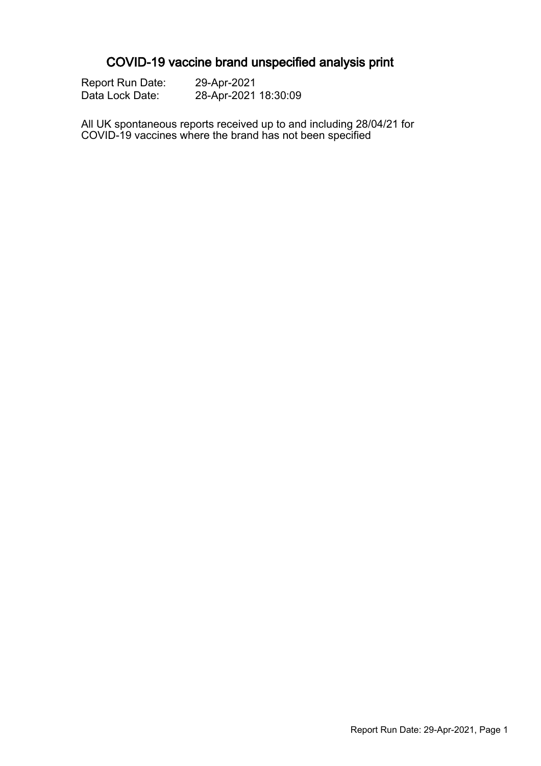# COVID-19 vaccine brand unspecified analysis print

| <b>Report Run Date:</b> | 29-Apr-2021          |
|-------------------------|----------------------|
| Data Lock Date:         | 28-Apr-2021 18:30:09 |

All UK spontaneous reports received up to and including 28/04/21 for COVID-19 vaccines where the brand has not been specified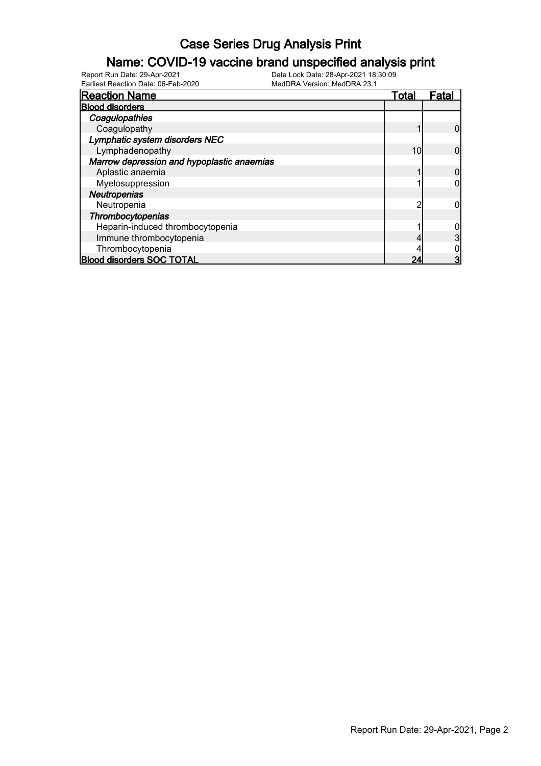### Name: COVID-19 vaccine brand unspecified analysis print

| <b>Reaction Name</b>                       | Total | <u>Fatal</u> |
|--------------------------------------------|-------|--------------|
| <b>Blood disorders</b>                     |       |              |
| Coagulopathies                             |       |              |
| Coagulopathy                               |       |              |
| Lymphatic system disorders NEC             |       |              |
| Lymphadenopathy                            | 10    |              |
| Marrow depression and hypoplastic anaemias |       |              |
| Aplastic anaemia                           |       |              |
| Myelosuppression                           |       |              |
| <b>Neutropenias</b>                        |       |              |
| Neutropenia                                | n     |              |
| Thrombocytopenias                          |       |              |
| Heparin-induced thrombocytopenia           |       |              |
| Immune thrombocytopenia                    |       |              |
| Thrombocytopenia                           |       |              |
| <b>Blood disorders SOC TOTAL</b>           | 24    |              |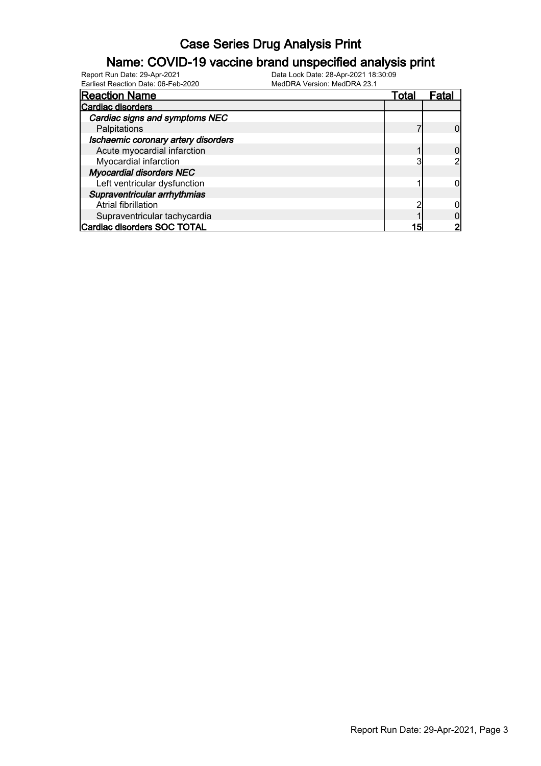### Name: COVID-19 vaccine brand unspecified analysis print

| <b>Reaction Name</b>                | Total | Fatal |
|-------------------------------------|-------|-------|
| <b>Cardiac disorders</b>            |       |       |
| Cardiac signs and symptoms NEC      |       |       |
| Palpitations                        |       |       |
| Ischaemic coronary artery disorders |       |       |
| Acute myocardial infarction         |       |       |
| Myocardial infarction               | 0     |       |
| <b>Myocardial disorders NEC</b>     |       |       |
| Left ventricular dysfunction        |       |       |
| Supraventricular arrhythmias        |       |       |
| Atrial fibrillation                 |       |       |
| Supraventricular tachycardia        |       |       |
| Cardiac disorders SOC TOTAL         | 15    |       |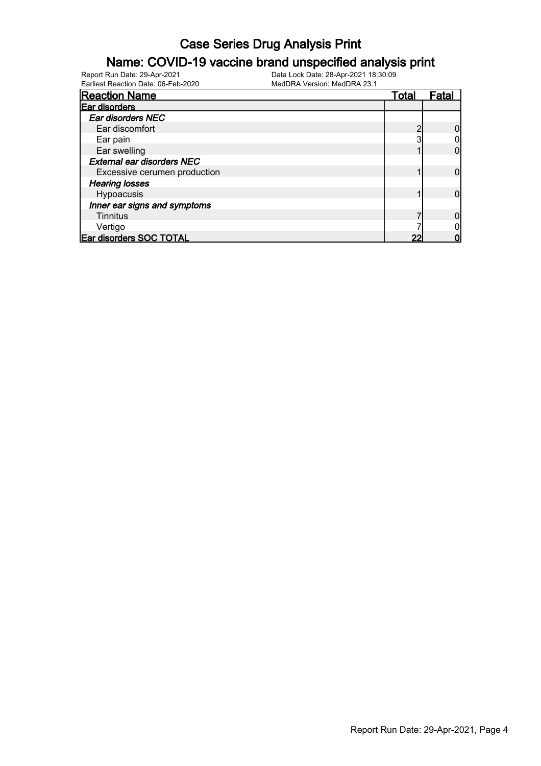### Name: COVID-19 vaccine brand unspecified analysis print

| <b>Reaction Name</b>              | Total | Fatal |
|-----------------------------------|-------|-------|
| Ear disorders                     |       |       |
| <b>Ear disorders NEC</b>          |       |       |
| Ear discomfort                    |       |       |
| Ear pain                          |       |       |
| Ear swelling                      |       |       |
| <b>External ear disorders NEC</b> |       |       |
| Excessive cerumen production      |       |       |
| <b>Hearing losses</b>             |       |       |
| Hypoacusis                        |       |       |
| Inner ear signs and symptoms      |       |       |
| Tinnitus                          |       |       |
| Vertigo                           |       |       |
| Ear disorders SOC TOTAL           | າາ    |       |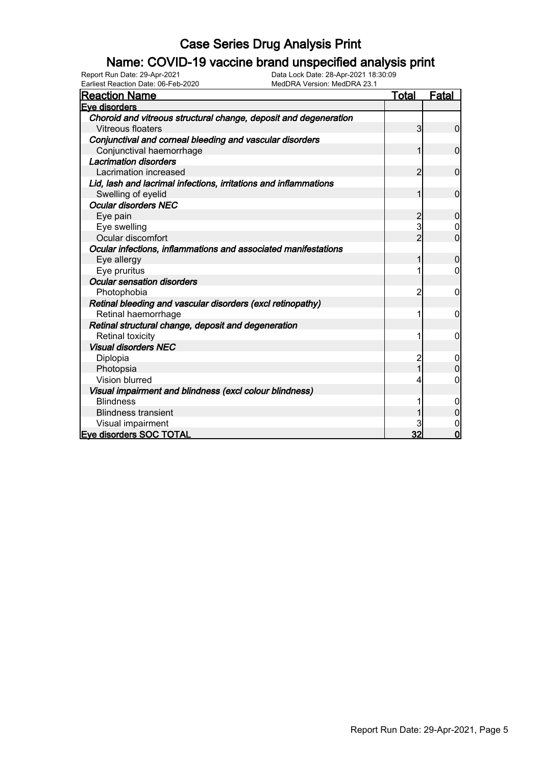### Name: COVID-19 vaccine brand unspecified analysis print

| Earliest Reaction Date: 06-Feb-2020<br>MedDRA Version: MedDRA 23.1 |                |                |
|--------------------------------------------------------------------|----------------|----------------|
| <u>Reaction Name</u>                                               | <u>Total</u>   | <b>Fatal</b>   |
| Eve disorders                                                      |                |                |
| Choroid and vitreous structural change, deposit and degeneration   |                |                |
| Vitreous floaters                                                  | $\overline{3}$ | $\overline{0}$ |
| Conjunctival and corneal bleeding and vascular disorders           |                |                |
| Conjunctival haemorrhage                                           |                | $\mathbf 0$    |
| <b>Lacrimation disorders</b>                                       |                |                |
| Lacrimation increased                                              | $\overline{2}$ | $\mathbf 0$    |
| Lid, lash and lacrimal infections, irritations and inflammations   |                |                |
| Swelling of eyelid                                                 |                | $\mathbf{0}$   |
| <b>Ocular disorders NEC</b>                                        |                |                |
| Eye pain                                                           | 2              | $\overline{0}$ |
| Eye swelling                                                       | 3              | 0              |
| Ocular discomfort                                                  | 2              | $\overline{0}$ |
| Ocular infections, inflammations and associated manifestations     |                |                |
| Eye allergy                                                        | 1              | $\overline{0}$ |
| Eye pruritus                                                       |                | 0              |
| <b>Ocular sensation disorders</b>                                  |                |                |
| Photophobia                                                        | 2              | 0              |
| Retinal bleeding and vascular disorders (excl retinopathy)         |                |                |
| Retinal haemorrhage                                                |                | 0              |
| Retinal structural change, deposit and degeneration                |                |                |
| <b>Retinal toxicity</b>                                            | 1              | 0              |
| <b>Visual disorders NEC</b>                                        |                |                |
| Diplopia                                                           | 2              | 0              |
| Photopsia                                                          |                | $\Omega$       |
| Vision blurred                                                     |                | 0              |
| Visual impairment and blindness (excl colour blindness)            |                |                |
| <b>Blindness</b>                                                   |                | 0              |
| <b>Blindness transient</b>                                         |                | 0              |
| Visual impairment                                                  |                | $\mathbf 0$    |
| <b>Eve disorders SOC TOTAL</b>                                     | 32             | $\overline{0}$ |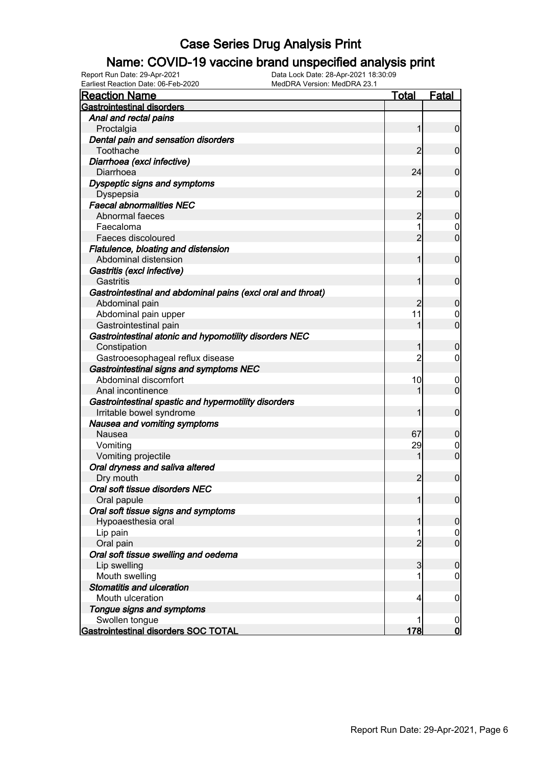### Name: COVID-19 vaccine brand unspecified analysis print

Earliest Reaction Date: 06-Feb-2020 MedDRA Version: MedDRA 23.1

| <b>Reaction Name</b>                                        | <b>Total</b>   | <b>Fatal</b>     |
|-------------------------------------------------------------|----------------|------------------|
| <b>Gastrointestinal disorders</b>                           |                |                  |
| Anal and rectal pains                                       |                |                  |
| Proctalgia                                                  |                | $\overline{0}$   |
| Dental pain and sensation disorders                         |                |                  |
| Toothache                                                   | 2              | $\mathbf 0$      |
| Diarrhoea (excl infective)                                  |                |                  |
| Diarrhoea                                                   | 24             | $\mathbf 0$      |
| Dyspeptic signs and symptoms                                |                |                  |
| Dyspepsia                                                   | $\overline{2}$ | $\mathbf 0$      |
| <b>Faecal abnormalities NEC</b>                             |                |                  |
| Abnormal faeces                                             | 2              | $\boldsymbol{0}$ |
| Faecaloma                                                   |                | 0                |
| Faeces discoloured                                          | $\overline{2}$ | $\mathbf 0$      |
| Flatulence, bloating and distension                         |                |                  |
| Abdominal distension                                        |                | $\mathbf 0$      |
| Gastritis (excl infective)                                  |                |                  |
| Gastritis                                                   |                | $\mathbf 0$      |
| Gastrointestinal and abdominal pains (excl oral and throat) |                |                  |
| Abdominal pain                                              | 2              | $\boldsymbol{0}$ |
| Abdominal pain upper                                        | 11             | 0                |
| Gastrointestinal pain                                       |                | $\mathbf 0$      |
| Gastrointestinal atonic and hypomotility disorders NEC      |                |                  |
| Constipation                                                |                | $\boldsymbol{0}$ |
| Gastrooesophageal reflux disease                            | 2              | 0                |
| Gastrointestinal signs and symptoms NEC                     |                |                  |
| Abdominal discomfort                                        | 10             | $\mathbf 0$      |
| Anal incontinence                                           |                | $\mathbf 0$      |
| Gastrointestinal spastic and hypermotility disorders        |                |                  |
| Irritable bowel syndrome                                    |                | $\mathbf 0$      |
| Nausea and vomiting symptoms                                |                |                  |
| Nausea                                                      | 67             | $\boldsymbol{0}$ |
| Vomiting                                                    | 29             | $\mathbf 0$      |
| Vomiting projectile                                         |                | $\overline{0}$   |
| Oral dryness and saliva altered                             |                |                  |
| Dry mouth                                                   | $\overline{2}$ | $\mathbf 0$      |
| Oral soft tissue disorders NEC                              |                |                  |
| Oral papule                                                 |                | $\overline{0}$   |
| Oral soft tissue signs and symptoms                         |                |                  |
| Hypoaesthesia oral                                          |                | $\mathbf 0$      |
| Lip pain                                                    |                | $\overline{0}$   |
| Oral pain                                                   | $\overline{2}$ | $\mathbf 0$      |
| Oral soft tissue swelling and oedema                        |                |                  |
| Lip swelling                                                | 3              | $\boldsymbol{0}$ |
| Mouth swelling                                              |                | 0                |
| <b>Stomatitis and ulceration</b>                            |                |                  |
| Mouth ulceration                                            | 4              | $\mathbf 0$      |
| Tongue signs and symptoms                                   |                |                  |
| Swollen tongue                                              |                | $\boldsymbol{0}$ |
| Gastrointestinal disorders SOC TOTAL                        | 178            | $\overline{0}$   |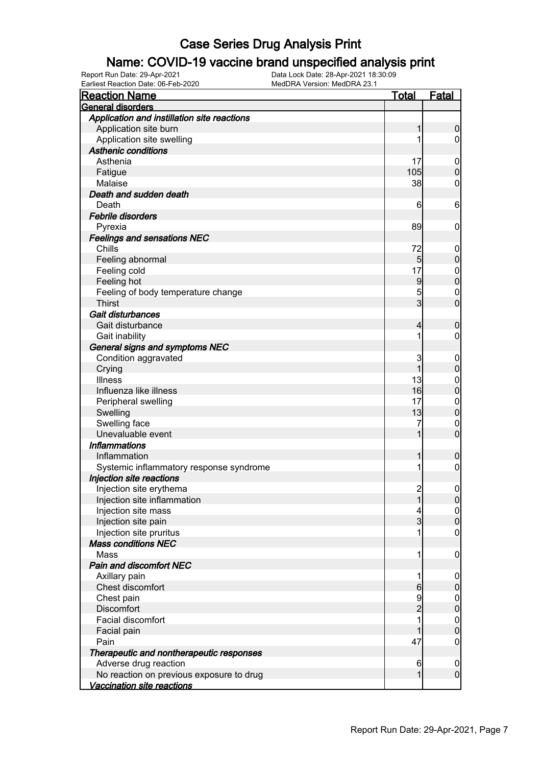### Name: COVID-19 vaccine brand unspecified analysis print

| Earliest Reaction Date: 06-Feb-2020         | MedDRA Version: MedDRA 23.1 |                                  |
|---------------------------------------------|-----------------------------|----------------------------------|
| <b>Reaction Name</b>                        | <u>Total</u>                | <b>Fatal</b>                     |
| <b>General disorders</b>                    |                             |                                  |
| Application and instillation site reactions |                             |                                  |
| Application site burn                       |                             | 0                                |
| Application site swelling                   |                             | 0                                |
| <b>Asthenic conditions</b>                  |                             |                                  |
| Asthenia                                    | 17                          | 0                                |
| Fatigue                                     | 105                         | 0                                |
| Malaise                                     | 38                          | 0                                |
| Death and sudden death                      |                             |                                  |
| Death                                       |                             | 6<br>6                           |
| Febrile disorders                           |                             |                                  |
| Pyrexia                                     | 89                          | 0                                |
| <b>Feelings and sensations NEC</b>          |                             |                                  |
| Chills                                      | 72                          | 0                                |
| Feeling abnormal                            |                             | 5 <sub>5</sub><br>0              |
| Feeling cold                                | 17                          | 0                                |
| Feeling hot                                 |                             | 0<br>9                           |
| Feeling of body temperature change          |                             | 5<br>$\mathbf 0$                 |
| <b>Thirst</b>                               |                             | $\overline{3}$<br>0              |
| Gait disturbances                           |                             |                                  |
| Gait disturbance                            |                             | 4<br>0                           |
| Gait inability                              |                             | 1<br>0                           |
| General signs and symptoms NEC              |                             |                                  |
| Condition aggravated                        |                             | 3<br>0                           |
| Crying                                      |                             | 1<br>0                           |
| <b>Illness</b>                              | 13                          | 0                                |
| Influenza like illness                      | 16                          | 0                                |
| Peripheral swelling                         | 17                          | $\mathbf 0$                      |
| Swelling                                    | 13                          | $\overline{0}$                   |
| Swelling face                               |                             | 7<br>$\mathbf 0$                 |
| Unevaluable event                           |                             | $\overline{0}$                   |
| <b>Inflammations</b>                        |                             |                                  |
| Inflammation                                |                             | 0                                |
| Systemic inflammatory response syndrome     |                             | 1<br>0                           |
| Injection site reactions                    |                             |                                  |
| Injection site erythema                     |                             | $\overline{0}$<br>$\frac{2}{ }$  |
| Injection site inflammation                 |                             | $\overline{1}$<br>$\overline{0}$ |
| Injection site mass                         |                             | 4<br>$\boldsymbol{0}$            |
| Injection site pain                         |                             | $\overline{3}$<br>$\overline{0}$ |
| Injection site pruritus                     |                             | 1<br>0                           |
| <b>Mass conditions NEC</b>                  |                             |                                  |
| Mass                                        |                             | 1<br>0                           |
| Pain and discomfort NEC                     |                             |                                  |
| Axillary pain                               |                             | 1<br>0                           |
| Chest discomfort                            |                             | $6 \overline{}$<br>0             |
| Chest pain                                  |                             | 9<br>$\boldsymbol{0}$            |
| <b>Discomfort</b>                           |                             | $\overline{2}$<br>0              |
| Facial discomfort                           |                             | $\boldsymbol{0}$                 |
| Facial pain                                 |                             | 0                                |
| Pain                                        | 47                          | 0                                |
| Therapeutic and nontherapeutic responses    |                             |                                  |
| Adverse drug reaction                       |                             | 6<br>$\boldsymbol{0}$            |
| No reaction on previous exposure to drug    |                             | $\mathbf 0$<br>$\mathbf{1}$      |
| <b>Vaccination site reactions</b>           |                             |                                  |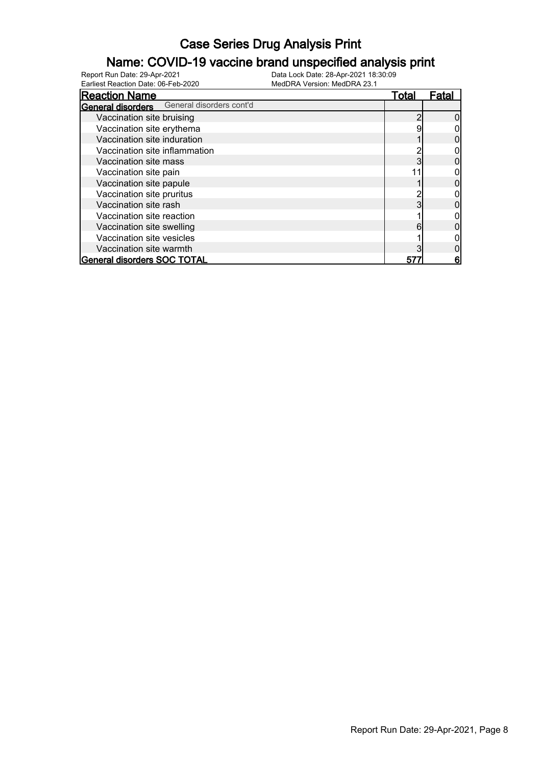### Name: COVID-19 vaccine brand unspecified analysis print

Earliest Reaction Date: 06-Feb-2020 MedDRA Version: MedDRA 23.1

| <b>Reaction Name</b>                              | Total | Fatal |
|---------------------------------------------------|-------|-------|
| <b>General disorders</b> General disorders cont'd |       |       |
| Vaccination site bruising                         |       |       |
| Vaccination site erythema                         |       |       |
| Vaccination site induration                       |       |       |
| Vaccination site inflammation                     |       |       |
| Vaccination site mass                             |       |       |
| Vaccination site pain                             |       |       |
| Vaccination site papule                           |       |       |
| Vaccination site pruritus                         |       |       |
| Vaccination site rash                             |       |       |
| Vaccination site reaction                         |       |       |
| Vaccination site swelling                         | 6     |       |
| Vaccination site vesicles                         |       |       |
| Vaccination site warmth                           |       |       |
| General disorders SOC TOTAL                       | 57    | 6     |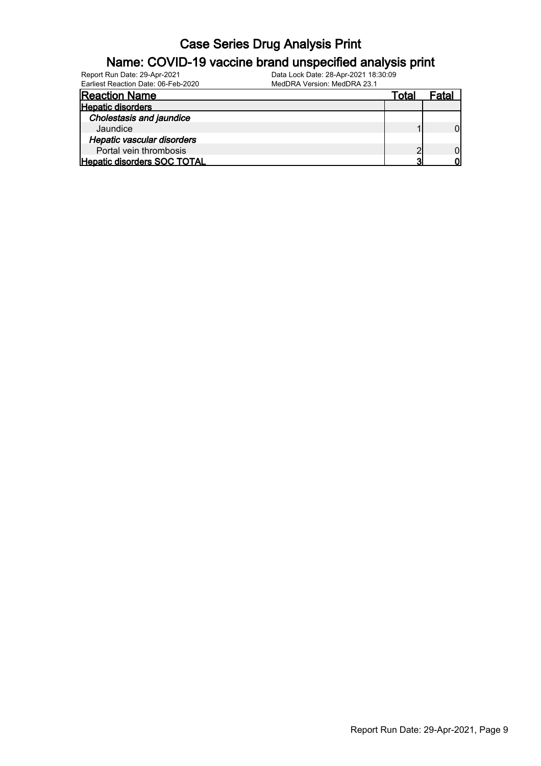# Name: COVID-19 vaccine brand unspecified analysis print

| Report Run Date: 29-Apr-2021        | Data Lock Date: 28-Apr-2021 18:30:09 |       |       |
|-------------------------------------|--------------------------------------|-------|-------|
| Earliest Reaction Date: 06-Feb-2020 | MedDRA Version: MedDRA 23.1          |       |       |
| <b>Reaction Name</b>                |                                      | Total | Fatal |
| <b>Hepatic disorders</b>            |                                      |       |       |
| <b>Cholestasis and jaundice</b>     |                                      |       |       |
| Jaundice                            |                                      |       |       |
| <b>Hepatic vascular disorders</b>   |                                      |       |       |
| Portal vein thrombosis              |                                      |       |       |
| Hepatic disorders SOC TOTAL         |                                      | ິ     | n     |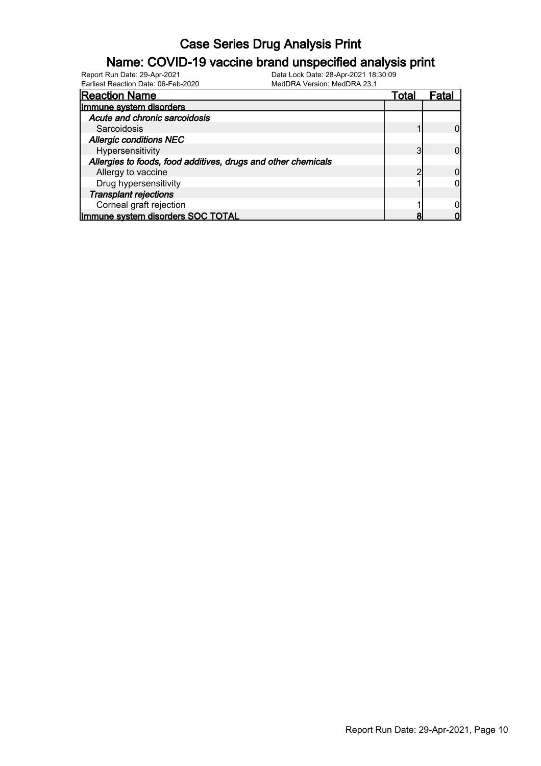### Name: COVID-19 vaccine brand unspecified analysis print

Earliest Reaction Date: 06-Feb-2020 MedDRA Version: MedDRA 23.1

| <b>Reaction Name</b>                                          | Total | Fata |
|---------------------------------------------------------------|-------|------|
| Immune system disorders                                       |       |      |
| Acute and chronic sarcoidosis                                 |       |      |
| Sarcoidosis                                                   |       |      |
| <b>Allergic conditions NEC</b>                                |       |      |
| Hypersensitivity                                              | ◠     |      |
| Allergies to foods, food additives, drugs and other chemicals |       |      |
| Allergy to vaccine                                            |       |      |
| Drug hypersensitivity                                         |       |      |
| <b>Transplant rejections</b>                                  |       |      |
| Corneal graft rejection                                       |       |      |
| Immune system disorders SOC TOTAL                             |       |      |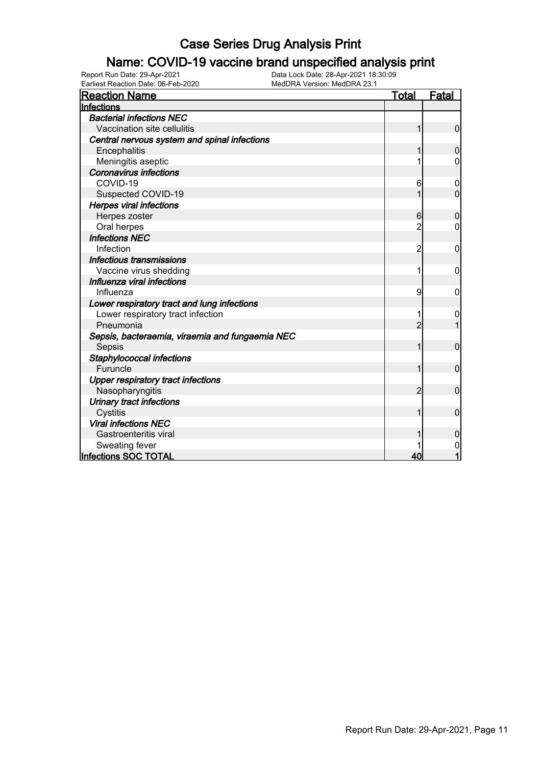### Name: COVID-19 vaccine brand unspecified analysis print

| <b>Reaction Name</b>                            | <u>Total</u>   | <b>Fatal</b>   |
|-------------------------------------------------|----------------|----------------|
| Infections                                      |                |                |
| <b>Bacterial infections NEC</b>                 |                |                |
| Vaccination site cellulitis                     |                | $\mathbf 0$    |
| Central nervous system and spinal infections    |                |                |
| Encephalitis                                    |                | $\mathbf 0$    |
| Meningitis aseptic                              |                | 0              |
| <b>Coronavirus infections</b>                   |                |                |
| COVID-19                                        | 6              | 0              |
| Suspected COVID-19                              |                | $\overline{0}$ |
| <b>Herpes viral infections</b>                  |                |                |
| Herpes zoster                                   | 6              | $\mathbf 0$    |
| Oral herpes                                     | 2              | 0              |
| <b>Infections NEC</b>                           |                |                |
| Infection                                       | 2              | 0              |
| Infectious transmissions                        |                |                |
| Vaccine virus shedding                          | 1              | 0              |
| Influenza viral infections                      |                |                |
| Influenza                                       | 9              | 0              |
| Lower respiratory tract and lung infections     |                |                |
| Lower respiratory tract infection               |                | 0              |
| Pneumonia                                       | $\overline{c}$ |                |
| Sepsis, bacteraemia, viraemia and fungaemia NEC |                |                |
| Sepsis                                          | 1              | $\mathbf 0$    |
| Staphylococcal infections                       |                |                |
| Furuncle                                        | 1              | $\mathbf 0$    |
| <b>Upper respiratory tract infections</b>       |                |                |
| Nasopharyngitis                                 | 2              | $\mathbf 0$    |
| Urinary tract infections                        |                |                |
| Cystitis                                        | 1              | $\mathbf 0$    |
| <b>Viral infections NEC</b>                     |                |                |
| Gastroenteritis viral                           |                | $\mathbf 0$    |
| Sweating fever                                  |                | 0              |
| Infections SOC TOTAL                            | 40             | 1              |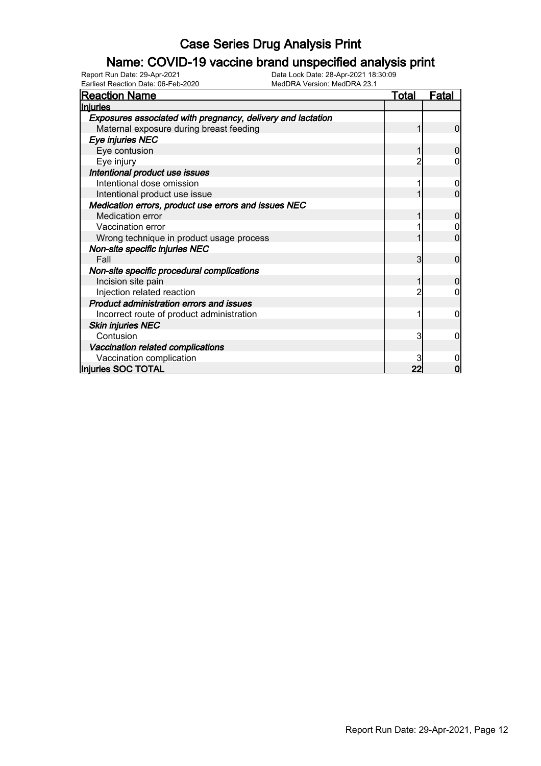### Name: COVID-19 vaccine brand unspecified analysis print

| <b>Reaction Name</b>                                        | <u>Total</u> | <b>Fatal</b> |
|-------------------------------------------------------------|--------------|--------------|
| Injuries                                                    |              |              |
| Exposures associated with pregnancy, delivery and lactation |              |              |
| Maternal exposure during breast feeding                     |              | $\Omega$     |
| Eye injuries NEC                                            |              |              |
| Eye contusion                                               |              |              |
| Eye injury                                                  |              |              |
| Intentional product use issues                              |              |              |
| Intentional dose omission                                   |              |              |
| Intentional product use issue                               |              | 0            |
| Medication errors, product use errors and issues NEC        |              |              |
| Medication error                                            |              |              |
| Vaccination error                                           |              |              |
| Wrong technique in product usage process                    |              | 0            |
| Non-site specific injuries NEC                              |              |              |
| Fall                                                        | 3            | $\Omega$     |
| Non-site specific procedural complications                  |              |              |
| Incision site pain                                          |              |              |
| Injection related reaction                                  |              |              |
| Product administration errors and issues                    |              |              |
| Incorrect route of product administration                   |              | 0            |
| <b>Skin injuries NEC</b>                                    |              |              |
| Contusion                                                   | 3            | 0            |
| Vaccination related complications                           |              |              |
| Vaccination complication                                    |              |              |
| Injuries SOC TOTAL                                          |              |              |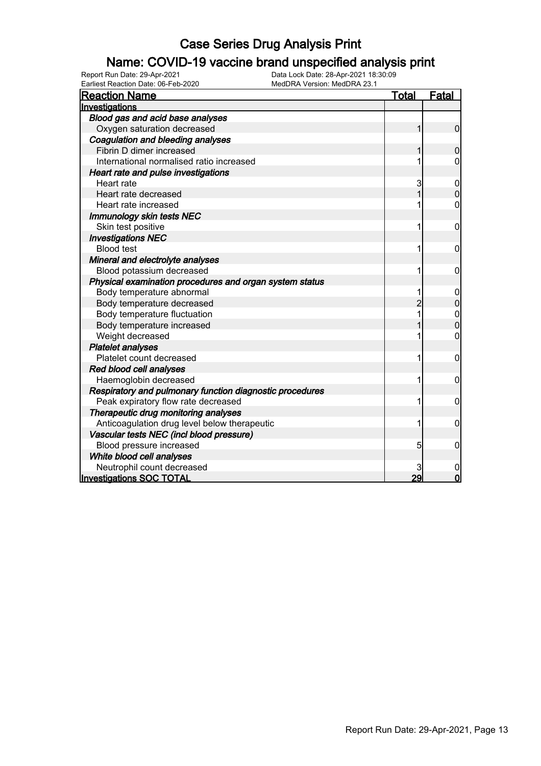### Name: COVID-19 vaccine brand unspecified analysis print

| <b>Reaction Name</b>                                     | Total | <u>Fatal</u>     |
|----------------------------------------------------------|-------|------------------|
| Investigations                                           |       |                  |
| Blood gas and acid base analyses                         |       |                  |
| Oxygen saturation decreased                              | 1     | $\mathbf 0$      |
| Coagulation and bleeding analyses                        |       |                  |
| Fibrin D dimer increased                                 |       | 0                |
| International normalised ratio increased                 |       | 0                |
| Heart rate and pulse investigations                      |       |                  |
| Heart rate                                               | 3     | $\boldsymbol{0}$ |
| Heart rate decreased                                     |       | 0                |
| Heart rate increased                                     |       | 0                |
| <b>Immunology skin tests NEC</b>                         |       |                  |
| Skin test positive                                       | 1     | 0                |
| <b>Investigations NEC</b>                                |       |                  |
| <b>Blood test</b>                                        | 1     | 0                |
| Mineral and electrolyte analyses                         |       |                  |
| Blood potassium decreased                                | 1     | 0                |
| Physical examination procedures and organ system status  |       |                  |
| Body temperature abnormal                                | 1     | 0                |
| Body temperature decreased                               | 2     | $\mathbf 0$      |
| Body temperature fluctuation                             | 1     | $\mathbf{0}$     |
| Body temperature increased                               |       | $\overline{0}$   |
| Weight decreased                                         |       | 0                |
| <b>Platelet analyses</b>                                 |       |                  |
| Platelet count decreased                                 | 1     | 0                |
| Red blood cell analyses                                  |       |                  |
| Haemoglobin decreased                                    | 1     | 0                |
| Respiratory and pulmonary function diagnostic procedures |       |                  |
| Peak expiratory flow rate decreased                      |       | $\mathbf 0$      |
| Therapeutic drug monitoring analyses                     |       |                  |
| Anticoagulation drug level below therapeutic             |       | 0                |
| Vascular tests NEC (incl blood pressure)                 |       |                  |
| Blood pressure increased                                 | 5     | 0                |
| White blood cell analyses                                |       |                  |
| Neutrophil count decreased                               |       | 0                |
| <b>Investigations SOC TOTAL</b>                          | 29    | $\Omega$         |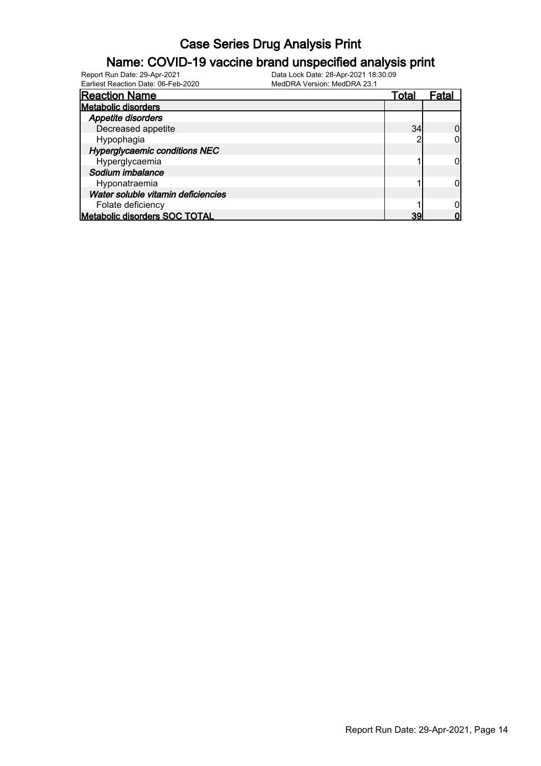### Name: COVID-19 vaccine brand unspecified analysis print

| <b>Reaction Name</b>                 | <u>Total</u> | Fatal |
|--------------------------------------|--------------|-------|
| <b>Metabolic disorders</b>           |              |       |
| Appetite disorders                   |              |       |
| Decreased appetite                   | 34           |       |
| Hypophagia                           |              |       |
| <b>Hyperglycaemic conditions NEC</b> |              |       |
| Hyperglycaemia                       |              |       |
| Sodium imbalance                     |              |       |
| Hyponatraemia                        |              |       |
| Water soluble vitamin deficiencies   |              |       |
| Folate deficiency                    |              |       |
| Metabolic disorders SOC TOTAL        | 39           |       |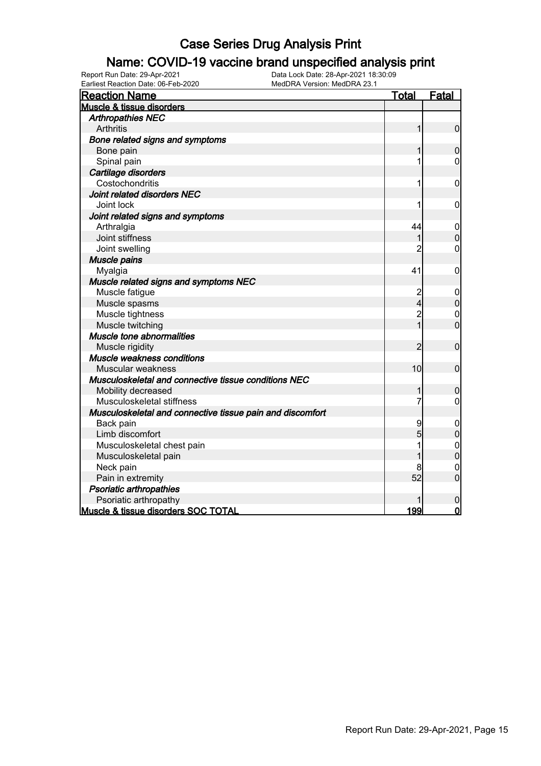### Name: COVID-19 vaccine brand unspecified analysis print

| Earliest Reaction Date: 06-Feb-2020<br>MedDRA Version: MedDRA 23.1 |                |                  |
|--------------------------------------------------------------------|----------------|------------------|
| <b>Reaction Name</b>                                               | <b>Total</b>   | Fatal            |
| <b>Muscle &amp; tissue disorders</b>                               |                |                  |
| <b>Arthropathies NEC</b>                                           |                |                  |
| <b>Arthritis</b>                                                   | 1              | $\mathbf 0$      |
| Bone related signs and symptoms                                    |                |                  |
| Bone pain                                                          | 1              | $\boldsymbol{0}$ |
| Spinal pain                                                        | 1              | $\mathbf 0$      |
| Cartilage disorders                                                |                |                  |
| Costochondritis                                                    | 1              | $\mathbf 0$      |
| Joint related disorders NEC                                        |                |                  |
| Joint lock                                                         | 1              | 0                |
| Joint related signs and symptoms                                   |                |                  |
| Arthralgia                                                         | 44             | $\mathbf 0$      |
| Joint stiffness                                                    | 1              | $\boldsymbol{0}$ |
| Joint swelling                                                     | $\overline{2}$ | $\mathbf 0$      |
| Muscle pains                                                       |                |                  |
| Myalgia                                                            | 41             | 0                |
| Muscle related signs and symptoms NEC                              |                |                  |
| Muscle fatigue                                                     | $\frac{2}{4}$  | 0                |
| Muscle spasms                                                      |                | $\mathbf 0$      |
| Muscle tightness                                                   | $\overline{c}$ | $\mathbf 0$      |
| Muscle twitching                                                   | 1              | $\mathbf 0$      |
| Muscle tone abnormalities                                          |                |                  |
| Muscle rigidity                                                    | $\overline{2}$ | $\mathbf 0$      |
| Muscle weakness conditions                                         |                |                  |
| Muscular weakness                                                  | 10             | $\mathbf 0$      |
| Musculoskeletal and connective tissue conditions NEC               |                |                  |
| Mobility decreased                                                 | 1              | $\mathbf 0$      |
| Musculoskeletal stiffness                                          | 7              | $\mathbf 0$      |
| Musculoskeletal and connective tissue pain and discomfort          |                |                  |
| Back pain                                                          | 9              | $\mathbf 0$      |
| Limb discomfort                                                    | 5              | $\overline{0}$   |
| Musculoskeletal chest pain                                         |                | $\overline{0}$   |
| Musculoskeletal pain                                               | 1              | $\overline{0}$   |
| Neck pain                                                          |                | $\mathbf 0$      |
| Pain in extremity                                                  | 52             | $\mathbf 0$      |
| <b>Psoriatic arthropathies</b>                                     |                |                  |
| Psoriatic arthropathy                                              |                | $\mathbf 0$      |
| Muscle & tissue disorders SOC TOTAL                                | 199            | $\mathbf 0$      |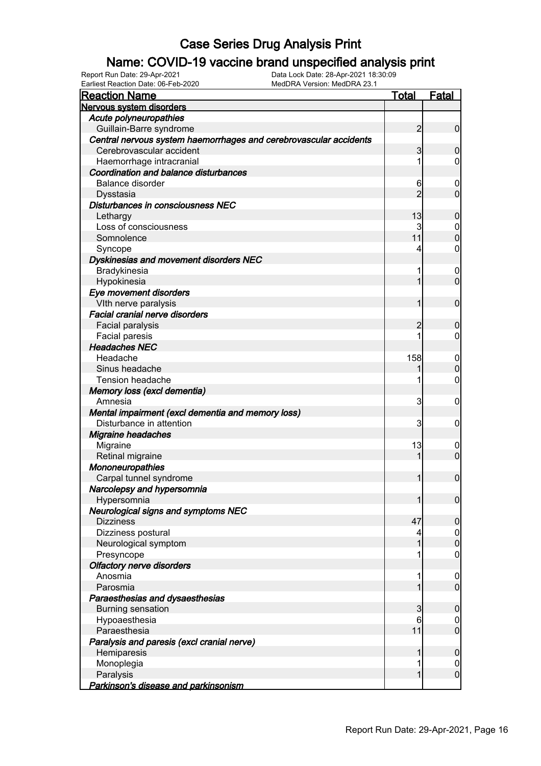### Name: COVID-19 vaccine brand unspecified analysis print

| <b>Reaction Name</b>                                              | <u>Total</u>   | Fatal            |
|-------------------------------------------------------------------|----------------|------------------|
| Nervous system disorders                                          |                |                  |
| Acute polyneuropathies                                            |                |                  |
| Guillain-Barre syndrome                                           | $\overline{2}$ | $\overline{0}$   |
| Central nervous system haemorrhages and cerebrovascular accidents |                |                  |
| Cerebrovascular accident                                          | 3              | $\boldsymbol{0}$ |
| Haemorrhage intracranial                                          |                | $\overline{0}$   |
| <b>Coordination and balance disturbances</b>                      |                |                  |
| <b>Balance disorder</b>                                           | 6              | $\mathbf 0$      |
| Dysstasia                                                         | $\overline{2}$ | $\mathbf 0$      |
| Disturbances in consciousness NEC                                 |                |                  |
| Lethargy                                                          | 13             | $\boldsymbol{0}$ |
| Loss of consciousness                                             | 3              | $\mathbf 0$      |
| Somnolence                                                        | 11             | $\boldsymbol{0}$ |
| Syncope                                                           | 4              | $\mathbf 0$      |
| Dyskinesias and movement disorders NEC                            |                |                  |
| Bradykinesia                                                      |                | $\mathbf 0$      |
| Hypokinesia                                                       | 1              | $\mathbf 0$      |
| Eye movement disorders                                            |                |                  |
| Vlth nerve paralysis                                              | 1              | $\mathbf 0$      |
| Facial cranial nerve disorders                                    |                |                  |
| Facial paralysis                                                  | 2              | $\boldsymbol{0}$ |
| Facial paresis                                                    |                | $\mathbf 0$      |
| <b>Headaches NEC</b>                                              |                |                  |
| Headache                                                          | 158            | $\mathbf 0$      |
| Sinus headache                                                    |                | $\boldsymbol{0}$ |
| Tension headache                                                  |                | $\mathbf 0$      |
| Memory loss (excl dementia)                                       |                |                  |
| Amnesia                                                           | 3              | $\mathbf 0$      |
| Mental impairment (excl dementia and memory loss)                 |                |                  |
| Disturbance in attention                                          | 3              | $\mathbf 0$      |
| <b>Migraine headaches</b>                                         |                |                  |
| Migraine                                                          | 13             | $\boldsymbol{0}$ |
| Retinal migraine                                                  | 1              | $\mathbf 0$      |
| <b>Mononeuropathies</b>                                           |                |                  |
| Carpal tunnel syndrome                                            | 1              | $\mathbf 0$      |
| Narcolepsy and hypersomnia                                        |                |                  |
| Hypersomnia                                                       | $\mathbf{1}$   | $\overline{0}$   |
| <b>Neurological signs and symptoms NEC</b>                        |                |                  |
| <b>Dizziness</b>                                                  | 47             | $\boldsymbol{0}$ |
| Dizziness postural                                                | 4              | $\overline{0}$   |
| Neurological symptom                                              | 1              | $\pmb{0}$        |
| Presyncope                                                        |                | $\mathbf 0$      |
| <b>Olfactory nerve disorders</b>                                  |                |                  |
| Anosmia                                                           | 1              | $\mathbf 0$      |
| Parosmia                                                          | 1              | $\mathbf 0$      |
| Paraesthesias and dysaesthesias                                   |                |                  |
| <b>Burning sensation</b>                                          | 3              | $\boldsymbol{0}$ |
| Hypoaesthesia                                                     | 6              | $\overline{0}$   |
| Paraesthesia                                                      | 11             | $\mathbf 0$      |
| Paralysis and paresis (excl cranial nerve)                        |                |                  |
| Hemiparesis                                                       | 1              | $\boldsymbol{0}$ |
| Monoplegia                                                        | 1              | $\mathbf 0$      |
| Paralysis                                                         | 1              | $\mathbf 0$      |
| Parkinson's disease and parkinsonism                              |                |                  |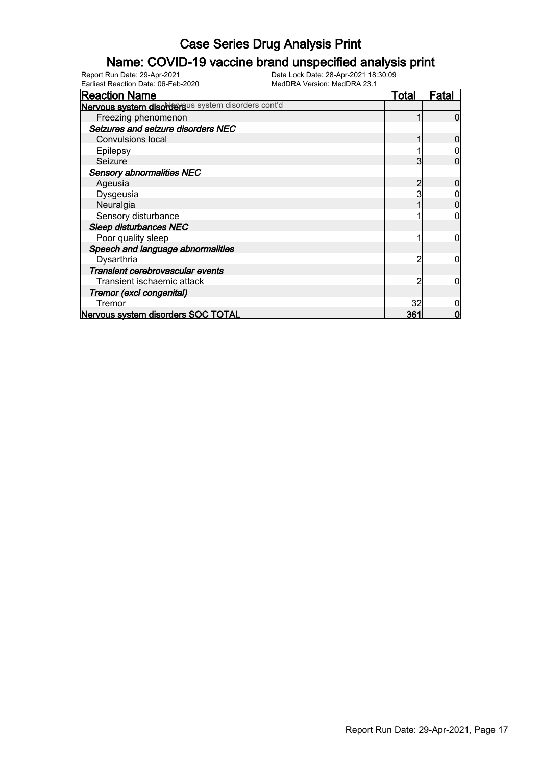### Name: COVID-19 vaccine brand unspecified analysis print

| <b>Reaction Name</b>                               | Total           | <u>Fatal</u> |
|----------------------------------------------------|-----------------|--------------|
| Nervous system disordersus system disorders cont'd |                 |              |
| Freezing phenomenon                                |                 |              |
| Seizures and seizure disorders NEC                 |                 |              |
| <b>Convulsions local</b>                           |                 |              |
| Epilepsy                                           |                 |              |
| Seizure                                            |                 |              |
| <b>Sensory abnormalities NEC</b>                   |                 |              |
| Ageusia                                            |                 |              |
| Dysgeusia                                          |                 |              |
| Neuralgia                                          |                 |              |
| Sensory disturbance                                |                 |              |
| Sleep disturbances NEC                             |                 |              |
| Poor quality sleep                                 |                 |              |
| Speech and language abnormalities                  |                 |              |
| Dysarthria                                         |                 |              |
| Transient cerebrovascular events                   |                 |              |
| Transient ischaemic attack                         |                 |              |
| Tremor (excl congenital)                           |                 |              |
| Tremor                                             | 32              |              |
| Nervous system disorders SOC TOTAL                 | 36 <sup>-</sup> |              |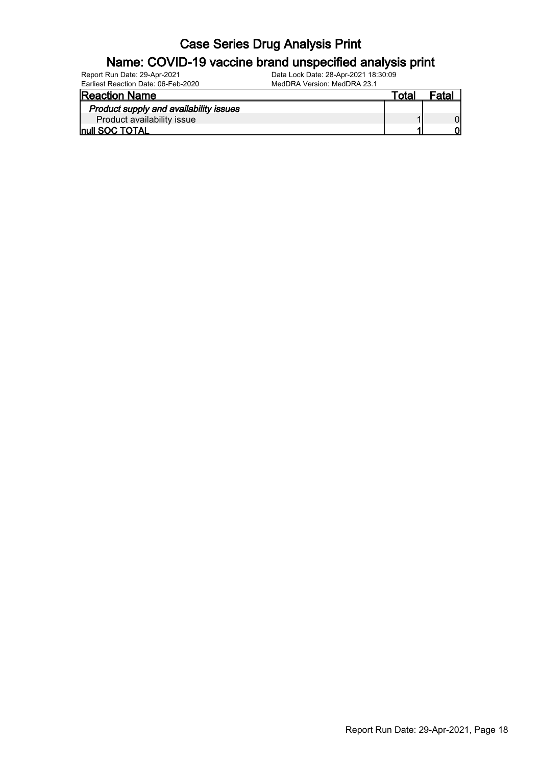### Name: COVID-19 vaccine brand unspecified analysis print

| Report Run Date: 29-Apr-2021        | Data Lock Date: 28-Apr-2021 18:30:09 |
|-------------------------------------|--------------------------------------|
| Earliest Reaction Date: 06-Feb-2020 | MedDRA Version: MedDRA 23.1          |

MedDRA Version: MedDRA 23.1

| <b>Reaction Name</b>                   | ™ota⊦ | Fatal |
|----------------------------------------|-------|-------|
| Product supply and availability issues |       |       |
| Product availability issue             |       |       |
| <b>Inull SOC TOTAL</b>                 |       |       |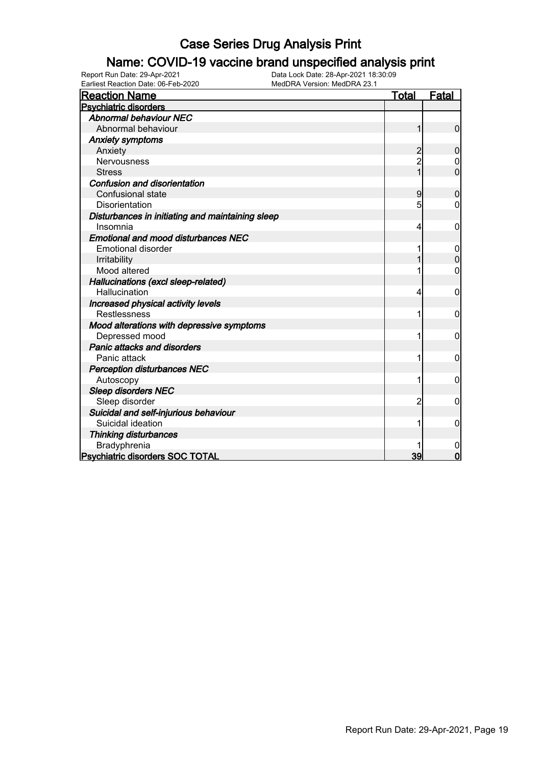### Name: COVID-19 vaccine brand unspecified analysis print

| <b>Reaction Name</b>                             | <u>Total</u>   | <b>Fatal</b>   |
|--------------------------------------------------|----------------|----------------|
| <b>Psychiatric disorders</b>                     |                |                |
| <b>Abnormal behaviour NEC</b>                    |                |                |
| Abnormal behaviour                               | 1              | $\mathbf 0$    |
| <b>Anxiety symptoms</b>                          |                |                |
| Anxiety                                          | $\overline{2}$ | $\mathbf 0$    |
| Nervousness                                      |                | 0              |
| <b>Stress</b>                                    | 1              | $\overline{0}$ |
| <b>Confusion and disorientation</b>              |                |                |
| Confusional state                                | 9              | $\overline{0}$ |
| <b>Disorientation</b>                            | 5              | 0              |
| Disturbances in initiating and maintaining sleep |                |                |
| Insomnia                                         | 4              | 0              |
| <b>Emotional and mood disturbances NEC</b>       |                |                |
| <b>Emotional disorder</b>                        |                | 0              |
| Irritability                                     |                | 0              |
| Mood altered                                     |                | 0              |
| Hallucinations (excl sleep-related)              |                |                |
| Hallucination                                    | 4              | 0              |
| Increased physical activity levels               |                |                |
| <b>Restlessness</b>                              |                | 0              |
| Mood alterations with depressive symptoms        |                |                |
| Depressed mood                                   |                | 0              |
| Panic attacks and disorders                      |                |                |
| Panic attack                                     |                | 0              |
| <b>Perception disturbances NEC</b>               |                |                |
| Autoscopy                                        |                | 0              |
| <b>Sleep disorders NEC</b>                       |                |                |
| Sleep disorder                                   | 2              | 0              |
| Suicidal and self-injurious behaviour            |                |                |
| Suicidal ideation                                | 1              | 0              |
| <b>Thinking disturbances</b>                     |                |                |
| Bradyphrenia                                     |                | 0              |
| <b>Psychiatric disorders SOC TOTAL</b>           | 39             | $\mathbf 0$    |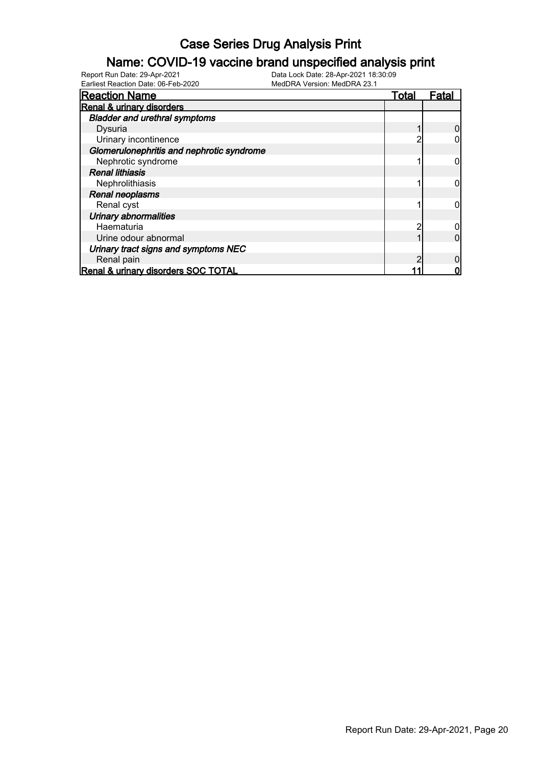### Name: COVID-19 vaccine brand unspecified analysis print

| <b>Reaction Name</b>                      | Total | Fatal |
|-------------------------------------------|-------|-------|
| Renal & urinary disorders                 |       |       |
| <b>Bladder and urethral symptoms</b>      |       |       |
| Dysuria                                   |       |       |
| Urinary incontinence                      |       |       |
| Glomerulonephritis and nephrotic syndrome |       |       |
| Nephrotic syndrome                        |       |       |
| <b>Renal lithiasis</b>                    |       |       |
| Nephrolithiasis                           |       |       |
| Renal neoplasms                           |       |       |
| Renal cyst                                |       |       |
| <b>Urinary abnormalities</b>              |       |       |
| Haematuria                                |       |       |
| Urine odour abnormal                      |       |       |
| Urinary tract signs and symptoms NEC      |       |       |
| Renal pain                                |       |       |
| Renal & urinary disorders SOC TOTAL       |       |       |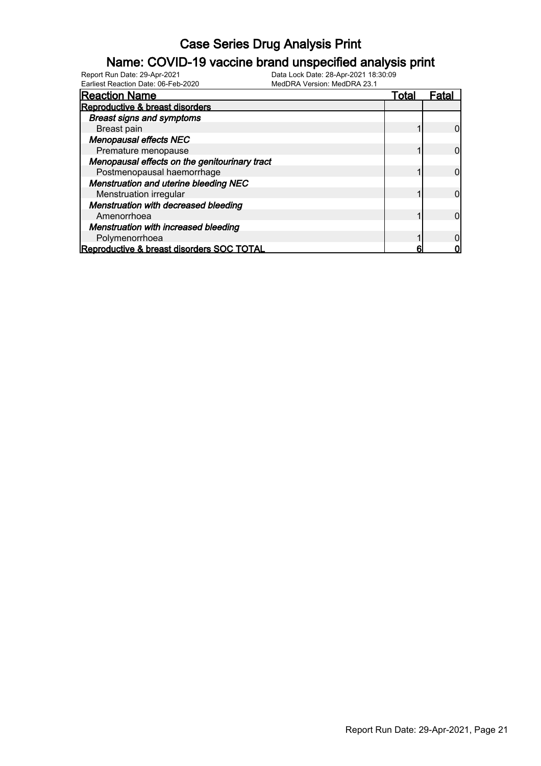### Name: COVID-19 vaccine brand unspecified analysis print

| Earliest Reaction Date: 06-Feb-2020           | MedDRA Version: MedDRA 23.1 |              |       |
|-----------------------------------------------|-----------------------------|--------------|-------|
| <b>Reaction Name</b>                          |                             | <u>Total</u> | Fatal |
| Reproductive & breast disorders               |                             |              |       |
| <b>Breast signs and symptoms</b>              |                             |              |       |
| <b>Breast pain</b>                            |                             |              |       |
| <b>Menopausal effects NEC</b>                 |                             |              |       |
| Premature menopause                           |                             |              |       |
| Menopausal effects on the genitourinary tract |                             |              |       |
| Postmenopausal haemorrhage                    |                             |              |       |
| <b>Menstruation and uterine bleeding NEC</b>  |                             |              |       |
| Menstruation irregular                        |                             |              |       |
| <b>Menstruation with decreased bleeding</b>   |                             |              |       |
| Amenorrhoea                                   |                             |              |       |
| <b>Menstruation with increased bleeding</b>   |                             |              |       |
| Polymenorrhoea                                |                             |              |       |
| Reproductive & breast disorders SOC TOTAL     |                             | 6            |       |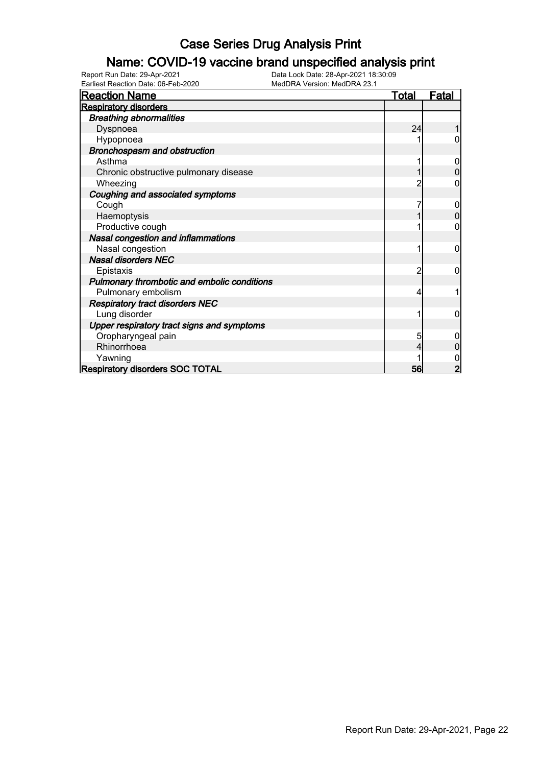### Name: COVID-19 vaccine brand unspecified analysis print

| <b>Reaction Name</b>                        | <b>Total</b> | <b>Fatal</b> |
|---------------------------------------------|--------------|--------------|
| <b>Respiratory disorders</b>                |              |              |
| <b>Breathing abnormalities</b>              |              |              |
| Dyspnoea                                    | 24           |              |
| Hypopnoea                                   |              |              |
| Bronchospasm and obstruction                |              |              |
| Asthma                                      |              |              |
| Chronic obstructive pulmonary disease       |              |              |
| Wheezing                                    |              | 0            |
| Coughing and associated symptoms            |              |              |
| Cough                                       |              | 0            |
| Haemoptysis                                 |              | 0            |
| Productive cough                            |              |              |
| Nasal congestion and inflammations          |              |              |
| Nasal congestion                            |              | 0            |
| <b>Nasal disorders NEC</b>                  |              |              |
| Epistaxis                                   | 2            | 0            |
| Pulmonary thrombotic and embolic conditions |              |              |
| Pulmonary embolism                          |              |              |
| <b>Respiratory tract disorders NEC</b>      |              |              |
| Lung disorder                               |              | 0            |
| Upper respiratory tract signs and symptoms  |              |              |
| Oropharyngeal pain                          | 5            |              |
| Rhinorrhoea                                 |              |              |
| Yawning                                     |              |              |
| <b>Respiratory disorders SOC TOTAL</b>      | 56           |              |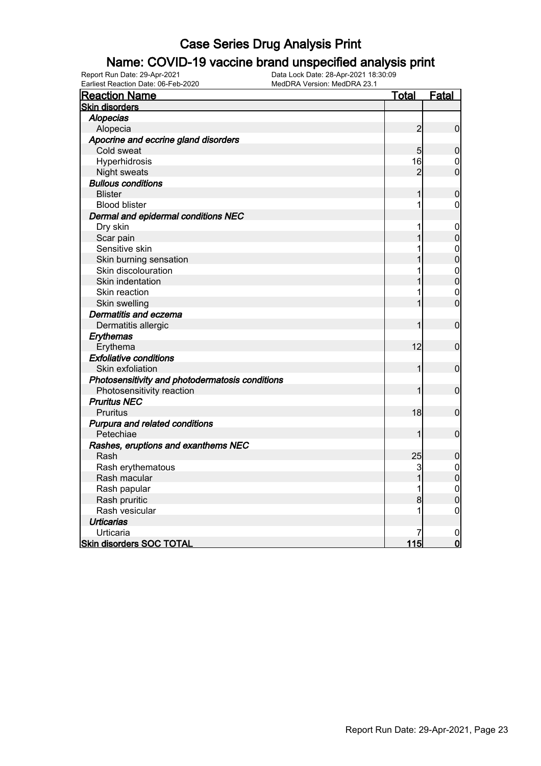### Name: COVID-19 vaccine brand unspecified analysis print

| <b>Reaction Name</b>                            | <u>Total</u>   | Fatal                                |
|-------------------------------------------------|----------------|--------------------------------------|
| <b>Skin disorders</b>                           |                |                                      |
| <b>Alopecias</b>                                |                |                                      |
| Alopecia                                        | $\overline{2}$ | $\boldsymbol{0}$                     |
| Apocrine and eccrine gland disorders            |                |                                      |
| Cold sweat                                      | 5              | $\mathbf 0$                          |
| Hyperhidrosis                                   | 16             | $\mathbf 0$                          |
| Night sweats                                    | $\overline{2}$ | $\overline{0}$                       |
| <b>Bullous conditions</b>                       |                |                                      |
| <b>Blister</b>                                  |                | $\mathbf 0$                          |
| <b>Blood blister</b>                            | 1              | $\mathbf 0$                          |
| Dermal and epidermal conditions NEC             |                |                                      |
| Dry skin                                        | 1              | 0                                    |
| Scar pain                                       |                | $\overline{0}$                       |
| Sensitive skin                                  |                | $0\atop 0$                           |
| Skin burning sensation                          |                |                                      |
| Skin discolouration                             |                | $\begin{matrix} 0 \\ 0 \end{matrix}$ |
| Skin indentation                                |                |                                      |
| Skin reaction                                   |                | $\mathbf{0}$                         |
| Skin swelling                                   |                | $\overline{0}$                       |
| Dermatitis and eczema                           |                |                                      |
| Dermatitis allergic                             |                | $\mathbf 0$                          |
| Erythemas                                       |                |                                      |
| Erythema                                        | 12             | $\mathbf 0$                          |
| <b>Exfoliative conditions</b>                   |                |                                      |
| Skin exfoliation                                | 1              | $\mathbf 0$                          |
| Photosensitivity and photodermatosis conditions |                |                                      |
| Photosensitivity reaction                       |                | $\boldsymbol{0}$                     |
| <b>Pruritus NEC</b>                             |                |                                      |
| <b>Pruritus</b>                                 | 18             | $\mathbf 0$                          |
| Purpura and related conditions                  |                |                                      |
| Petechiae                                       | 1              | $\overline{0}$                       |
| Rashes, eruptions and exanthems NEC             |                |                                      |
| Rash                                            | 25             | $\mathbf 0$                          |
| Rash erythematous                               | 3              | $\begin{matrix} 0 \\ 0 \end{matrix}$ |
| Rash macular                                    | $\overline{1}$ |                                      |
| Rash papular                                    |                | $\mathbf{0}$                         |
| Rash pruritic                                   | 8              | $\overline{0}$                       |
| Rash vesicular                                  | 1              | $\mathbf 0$                          |
| <b>Urticarias</b>                               |                |                                      |
| Urticaria                                       |                | $\mathbf 0$                          |
| <b>Skin disorders SOC TOTAL</b>                 | 115            | $\mathbf 0$                          |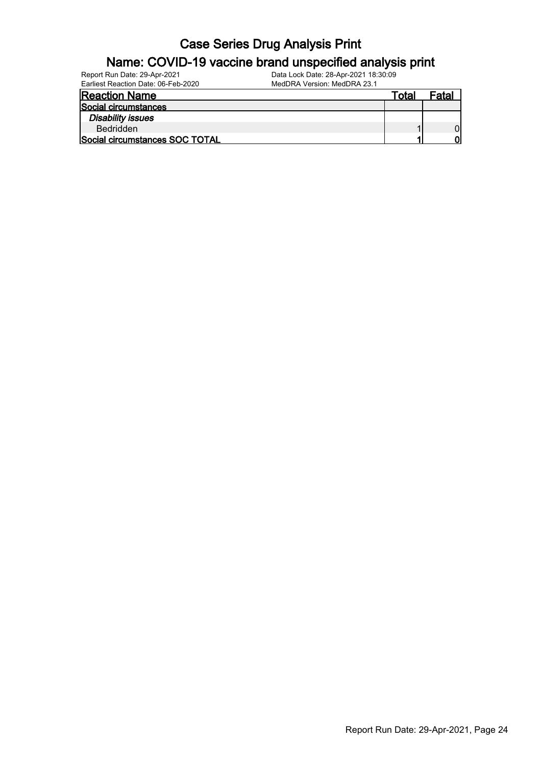### Name: COVID-19 vaccine brand unspecified analysis print

| Report Run Date: 29-Apr-2021        | Data Lock Date: 28-Apr-2021 18:30:09 |       |       |
|-------------------------------------|--------------------------------------|-------|-------|
| Earliest Reaction Date: 06-Feb-2020 | MedDRA Version: MedDRA 23.1          |       |       |
| <b>Reaction Name</b>                |                                      | Total | Fatal |
| Social circumstances                |                                      |       |       |
| <b>Disability issues</b>            |                                      |       |       |
| <b>Bedridden</b>                    |                                      |       |       |
| Social circumstances SOC TOTAL      |                                      |       | וח    |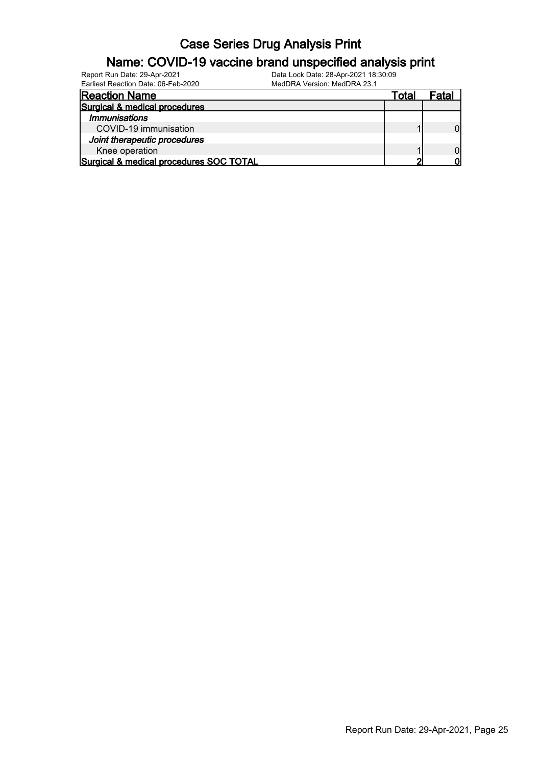| Name: COVID-19 vaccine brand unspecified analysis print             |                                                                     |       |       |  |  |
|---------------------------------------------------------------------|---------------------------------------------------------------------|-------|-------|--|--|
| Report Run Date: 29-Apr-2021<br>Earliest Reaction Date: 06-Feb-2020 | Data Lock Date: 28-Apr-2021 18:30:09<br>MedDRA Version: MedDRA 23.1 |       |       |  |  |
| <b>Reaction Name</b>                                                |                                                                     | Total | Fatal |  |  |
| Surgical & medical procedures                                       |                                                                     |       |       |  |  |
| <i><b>Immunisations</b></i>                                         |                                                                     |       |       |  |  |
| COVID-19 immunisation                                               |                                                                     |       |       |  |  |
| Joint therapeutic procedures                                        |                                                                     |       |       |  |  |
| Knee operation                                                      |                                                                     |       |       |  |  |
| Surgical & medical procedures SOC TOTAL                             |                                                                     | ◠     |       |  |  |